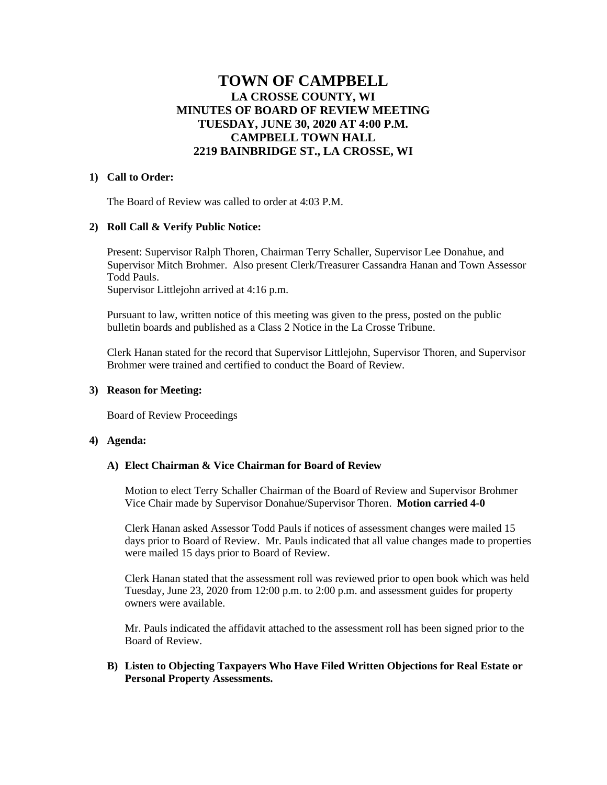# **TOWN OF CAMPBELL LA CROSSE COUNTY, WI MINUTES OF BOARD OF REVIEW MEETING TUESDAY, JUNE 30, 2020 AT 4:00 P.M. CAMPBELL TOWN HALL 2219 BAINBRIDGE ST., LA CROSSE, WI**

## **1) Call to Order:**

The Board of Review was called to order at 4:03 P.M.

## **2) Roll Call & Verify Public Notice:**

Present: Supervisor Ralph Thoren, Chairman Terry Schaller, Supervisor Lee Donahue, and Supervisor Mitch Brohmer. Also present Clerk/Treasurer Cassandra Hanan and Town Assessor Todd Pauls.

Supervisor Littlejohn arrived at 4:16 p.m.

Pursuant to law, written notice of this meeting was given to the press, posted on the public bulletin boards and published as a Class 2 Notice in the La Crosse Tribune.

Clerk Hanan stated for the record that Supervisor Littlejohn, Supervisor Thoren, and Supervisor Brohmer were trained and certified to conduct the Board of Review.

#### **3) Reason for Meeting:**

Board of Review Proceedings

#### **4) Agenda:**

#### **A) Elect Chairman & Vice Chairman for Board of Review**

Motion to elect Terry Schaller Chairman of the Board of Review and Supervisor Brohmer Vice Chair made by Supervisor Donahue/Supervisor Thoren. **Motion carried 4-0**

Clerk Hanan asked Assessor Todd Pauls if notices of assessment changes were mailed 15 days prior to Board of Review. Mr. Pauls indicated that all value changes made to properties were mailed 15 days prior to Board of Review.

Clerk Hanan stated that the assessment roll was reviewed prior to open book which was held Tuesday, June 23, 2020 from 12:00 p.m. to 2:00 p.m. and assessment guides for property owners were available.

Mr. Pauls indicated the affidavit attached to the assessment roll has been signed prior to the Board of Review.

# **B) Listen to Objecting Taxpayers Who Have Filed Written Objections for Real Estate or Personal Property Assessments.**